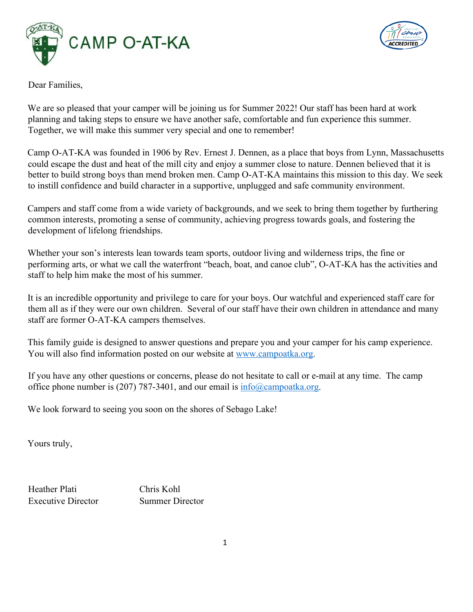



Dear Families,

We are so pleased that your camper will be joining us for Summer 2022! Our staff has been hard at work planning and taking steps to ensure we have another safe, comfortable and fun experience this summer. Together, we will make this summer very special and one to remember!

Camp O-AT-KA was founded in 1906 by Rev. Ernest J. Dennen, as a place that boys from Lynn, Massachusetts could escape the dust and heat of the mill city and enjoy a summer close to nature. Dennen believed that it is better to build strong boys than mend broken men. Camp O-AT-KA maintains this mission to this day. We seek to instill confidence and build character in a supportive, unplugged and safe community environment.

Campers and staff come from a wide variety of backgrounds, and we seek to bring them together by furthering common interests, promoting a sense of community, achieving progress towards goals, and fostering the development of lifelong friendships.

Whether your son's interests lean towards team sports, outdoor living and wilderness trips, the fine or performing arts, or what we call the waterfront "beach, boat, and canoe club", O-AT-KA has the activities and staff to help him make the most of his summer.

It is an incredible opportunity and privilege to care for your boys. Our watchful and experienced staff care for them all as if they were our own children. Several of our staff have their own children in attendance and many staff are former O-AT-KA campers themselves.

This family guide is designed to answer questions and prepare you and your camper for his camp experience. You will also find information posted on our website at www.campoatka.org.

If you have any other questions or concerns, please do not hesitate to call or e-mail at any time. The camp office phone number is (207) 787-3401, and our email is  $info@campoatka.org$ .

We look forward to seeing you soon on the shores of Sebago Lake!

Yours truly,

Heather Plati Chris Kohl Executive Director Summer Director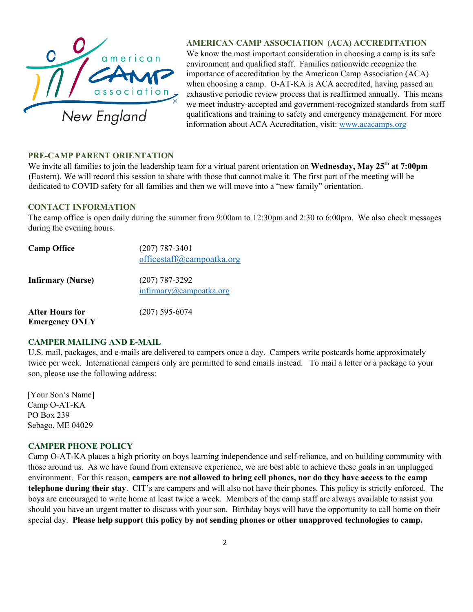

# **AMERICAN CAMP ASSOCIATION (ACA) ACCREDITATION**

We know the most important consideration in choosing a camp is its safe environment and qualified staff. Families nationwide recognize the importance of accreditation by the American Camp Association (ACA) when choosing a camp. O-AT-KA is ACA accredited, having passed an exhaustive periodic review process that is reaffirmed annually. This means we meet industry-accepted and government-recognized standards from staff qualifications and training to safety and emergency management. For more information about ACA Accreditation, visit: www.acacamps.org

### **PRE-CAMP PARENT ORIENTATION**

We invite all families to join the leadership team for a virtual parent orientation on **Wednesday, May 25th at 7:00pm** (Eastern). We will record this session to share with those that cannot make it. The first part of the meeting will be dedicated to COVID safety for all families and then we will move into a "new family" orientation.

#### **CONTACT INFORMATION**

The camp office is open daily during the summer from 9:00am to 12:30pm and 2:30 to 6:00pm. We also check messages during the evening hours.

| <b>Camp Office</b>                       | $(207)$ 787-3401<br>officestaff@campoatka.org |
|------------------------------------------|-----------------------------------------------|
| <b>Infirmary (Nurse)</b>                 | $(207)$ 787-3292<br>infirmary@campoatka.org   |
| After Hours for<br><b>Emergency ONLY</b> | $(207)$ 595-6074                              |

## **CAMPER MAILING AND E-MAIL**

U.S. mail, packages, and e-mails are delivered to campers once a day. Campers write postcards home approximately twice per week. International campers only are permitted to send emails instead. To mail a letter or a package to your son, please use the following address:

[Your Son's Name] Camp O-AT-KA PO Box 239 Sebago, ME 04029

## **CAMPER PHONE POLICY**

Camp O-AT-KA places a high priority on boys learning independence and self-reliance, and on building community with those around us. As we have found from extensive experience, we are best able to achieve these goals in an unplugged environment. For this reason, **campers are not allowed to bring cell phones, nor do they have access to the camp telephone during their stay**. CIT's are campers and will also not have their phones. This policy is strictly enforced. The boys are encouraged to write home at least twice a week. Members of the camp staff are always available to assist you should you have an urgent matter to discuss with your son. Birthday boys will have the opportunity to call home on their special day. **Please help support this policy by not sending phones or other unapproved technologies to camp.**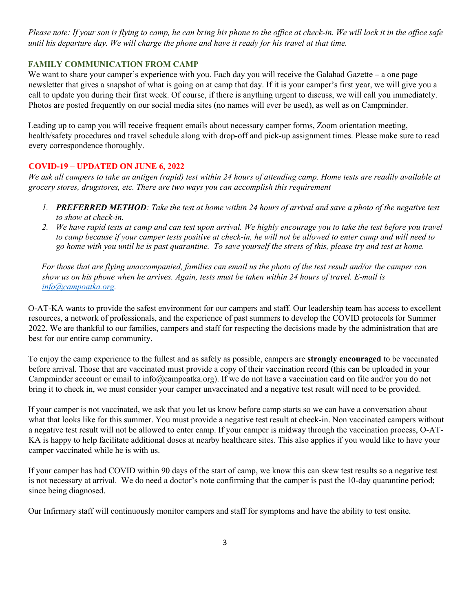*Please note: If your son is flying to camp, he can bring his phone to the office at check-in. We will lock it in the office safe until his departure day. We will charge the phone and have it ready for his travel at that time.* 

# **FAMILY COMMUNICATION FROM CAMP**

We want to share your camper's experience with you. Each day you will receive the Galahad Gazette – a one page newsletter that gives a snapshot of what is going on at camp that day. If it is your camper's first year, we will give you a call to update you during their first week. Of course, if there is anything urgent to discuss, we will call you immediately. Photos are posted frequently on our social media sites (no names will ever be used), as well as on Campminder.

Leading up to camp you will receive frequent emails about necessary camper forms, Zoom orientation meeting, health/safety procedures and travel schedule along with drop-off and pick-up assignment times. Please make sure to read every correspondence thoroughly.

## **COVID-19 – UPDATED ON JUNE 6, 2022**

*We ask all campers to take an antigen (rapid) test within 24 hours of attending camp. Home tests are readily available at grocery stores, drugstores, etc. There are two ways you can accomplish this requirement*

- *1. PREFERRED METHOD: Take the test at home within 24 hours of arrival and save a photo of the negative test to show at check-in.*
- *2. We have rapid tests at camp and can test upon arrival. We highly encourage you to take the test before you travel to camp because if your camper tests positive at check-in, he will not be allowed to enter camp and will need to go home with you until he is past quarantine. To save yourself the stress of this, please try and test at home.*

*For those that are flying unaccompanied, families can email us the photo of the test result and/or the camper can show us on his phone when he arrives. Again, tests must be taken within 24 hours of travel. E-mail is info@campoatka.org.*

O-AT-KA wants to provide the safest environment for our campers and staff. Our leadership team has access to excellent resources, a network of professionals, and the experience of past summers to develop the COVID protocols for Summer 2022. We are thankful to our families, campers and staff for respecting the decisions made by the administration that are best for our entire camp community.

To enjoy the camp experience to the fullest and as safely as possible, campers are **strongly encouraged** to be vaccinated before arrival. Those that are vaccinated must provide a copy of their vaccination record (this can be uploaded in your Campminder account or email to info@campoatka.org). If we do not have a vaccination card on file and/or you do not bring it to check in, we must consider your camper unvaccinated and a negative test result will need to be provided.

If your camper is not vaccinated, we ask that you let us know before camp starts so we can have a conversation about what that looks like for this summer. You must provide a negative test result at check-in. Non vaccinated campers without a negative test result will not be allowed to enter camp. If your camper is midway through the vaccination process, O-AT-KA is happy to help facilitate additional doses at nearby healthcare sites. This also applies if you would like to have your camper vaccinated while he is with us.

If your camper has had COVID within 90 days of the start of camp, we know this can skew test results so a negative test is not necessary at arrival. We do need a doctor's note confirming that the camper is past the 10-day quarantine period; since being diagnosed.

Our Infirmary staff will continuously monitor campers and staff for symptoms and have the ability to test onsite.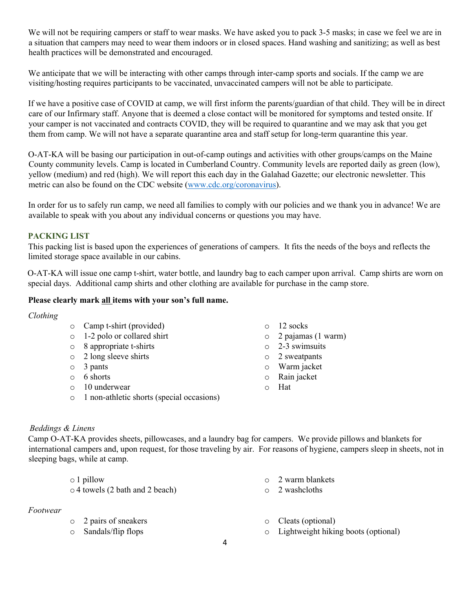We will not be requiring campers or staff to wear masks. We have asked you to pack 3-5 masks; in case we feel we are in a situation that campers may need to wear them indoors or in closed spaces. Hand washing and sanitizing; as well as best health practices will be demonstrated and encouraged.

We anticipate that we will be interacting with other camps through inter-camp sports and socials. If the camp we are visiting/hosting requires participants to be vaccinated, unvaccinated campers will not be able to participate.

If we have a positive case of COVID at camp, we will first inform the parents/guardian of that child. They will be in direct care of our Infirmary staff. Anyone that is deemed a close contact will be monitored for symptoms and tested onsite. If your camper is not vaccinated and contracts COVID, they will be required to quarantine and we may ask that you get them from camp. We will not have a separate quarantine area and staff setup for long-term quarantine this year.

O-AT-KA will be basing our participation in out-of-camp outings and activities with other groups/camps on the Maine County community levels. Camp is located in Cumberland Country. Community levels are reported daily as green (low), yellow (medium) and red (high). We will report this each day in the Galahad Gazette; our electronic newsletter. This metric can also be found on the CDC website (www.cdc.org/coronavirus).

In order for us to safely run camp, we need all families to comply with our policies and we thank you in advance! We are available to speak with you about any individual concerns or questions you may have.

## **PACKING LIST**

This packing list is based upon the experiences of generations of campers. It fits the needs of the boys and reflects the limited storage space available in our cabins.

O-AT-KA will issue one camp t-shirt, water bottle, and laundry bag to each camper upon arrival. Camp shirts are worn on special days. Additional camp shirts and other clothing are available for purchase in the camp store.

#### **Please clearly mark all items with your son's full name.**

#### *Clothing*

- o Camp t-shirt (provided)
- o 1-2 polo or collared shirt
- o 8 appropriate t-shirts
- o 2 long sleeve shirts
- o 3 pants
- o 6 shorts
- o 10 underwear
- o 1 non-athletic shorts (special occasions)
- o 12 socks
- o 2 pajamas (1 warm)
- o 2-3 swimsuits
- o 2 sweatpants
- o Warm jacket
- o Rain jacket
- o Hat

## *Beddings & Linens*

Camp O-AT-KA provides sheets, pillowcases, and a laundry bag for campers. We provide pillows and blankets for international campers and, upon request, for those traveling by air. For reasons of hygiene, campers sleep in sheets, not in sleeping bags, while at camp.

| $\circ$ 1 pillow                      | $\circ$ 2 warm blankets |
|---------------------------------------|-------------------------|
| $\circ$ 4 towels (2 bath and 2 beach) | $\circ$ 2 washeloths    |

#### *Footwear*

- o 2 pairs of sneakers
- o Sandals/flip flops
- o Cleats (optional)
- o Lightweight hiking boots (optional)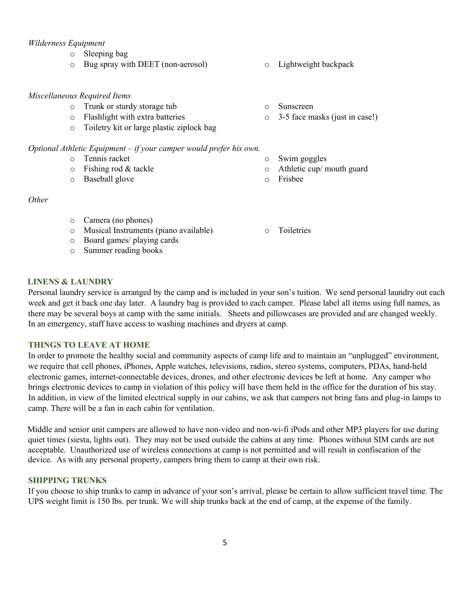#### *Wilderness Equipment*

- o Sleeping bag
- o Bug spray with DEET (non-aerosol) o Lightweight backpack

#### *Miscellaneous Required Items*

- o Trunk or sturdy storage tub
- o Flashlight with extra batteries
- o Toiletry kit or large plastic ziplock bag

#### *Optional Athletic Equipment – if your camper would prefer his own.*

- o Tennis racket
- o Fishing rod & tackle
- o Baseball glove

#### *Other*

- o Camera (no phones)
- o Musical Instruments (piano available)
- o Board games/ playing cards
- o Summer reading books
- 
- o Sunscreen
- o 3-5 face masks (just in case!)
- o Swim goggles
- o Athletic cup/ mouth guard
- o Frisbee
- o Toiletries

## **LINENS & LAUNDRY**

Personal laundry service is arranged by the camp and is included in your son's tuition. We send personal laundry out each week and get it back one day later. A laundry bag is provided to each camper. Please label all items using full names, as there may be several boys at camp with the same initials. Sheets and pillowcases are provided and are changed weekly. In an emergency, staff have access to washing machines and dryers at camp.

#### **THINGS TO LEAVE AT HOME**

In order to promote the healthy social and community aspects of camp life and to maintain an "unplugged" environment, we require that cell phones, iPhones, Apple watches, televisions, radios, stereo systems, computers, PDAs, hand-held electronic games, internet-connectable devices, drones, and other electronic devices be left at home. Any camper who brings electronic devices to camp in violation of this policy will have them held in the office for the duration of his stay. In addition, in view of the limited electrical supply in our cabins, we ask that campers not bring fans and plug-in lamps to camp. There will be a fan in each cabin for ventilation.

Middle and senior unit campers are allowed to have non-video and non-wi-fi iPods and other MP3 players for use during quiet times (siesta, lights out). They may not be used outside the cabins at any time. Phones without SIM cards are not acceptable. Unauthorized use of wireless connections at camp is not permitted and will result in confiscation of the device. As with any personal property, campers bring them to camp at their own risk.

## **SHIPPING TRUNKS**

If you choose to ship trunks to camp in advance of your son's arrival, please be certain to allow sufficient travel time. The UPS weight limit is 150 lbs. per trunk. We will ship trunks back at the end of camp, at the expense of the family.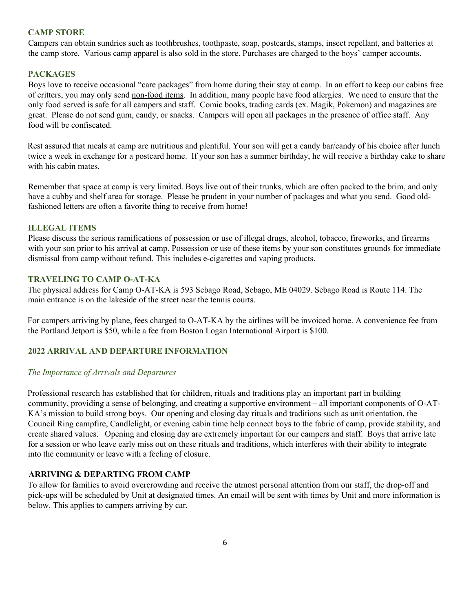## **CAMP STORE**

Campers can obtain sundries such as toothbrushes, toothpaste, soap, postcards, stamps, insect repellant, and batteries at the camp store. Various camp apparel is also sold in the store. Purchases are charged to the boys' camper accounts.

# **PACKAGES**

Boys love to receive occasional "care packages" from home during their stay at camp. In an effort to keep our cabins free of critters, you may only send non-food items. In addition, many people have food allergies. We need to ensure that the only food served is safe for all campers and staff. Comic books, trading cards (ex. Magik, Pokemon) and magazines are great. Please do not send gum, candy, or snacks. Campers will open all packages in the presence of office staff. Any food will be confiscated.

Rest assured that meals at camp are nutritious and plentiful. Your son will get a candy bar/candy of his choice after lunch twice a week in exchange for a postcard home. If your son has a summer birthday, he will receive a birthday cake to share with his cabin mates.

Remember that space at camp is very limited. Boys live out of their trunks, which are often packed to the brim, and only have a cubby and shelf area for storage. Please be prudent in your number of packages and what you send. Good oldfashioned letters are often a favorite thing to receive from home!

## **ILLEGAL ITEMS**

Please discuss the serious ramifications of possession or use of illegal drugs, alcohol, tobacco, fireworks, and firearms with your son prior to his arrival at camp. Possession or use of these items by your son constitutes grounds for immediate dismissal from camp without refund. This includes e-cigarettes and vaping products.

## **TRAVELING TO CAMP O-AT-KA**

The physical address for Camp O-AT-KA is 593 Sebago Road, Sebago, ME 04029. Sebago Road is Route 114. The main entrance is on the lakeside of the street near the tennis courts.

For campers arriving by plane, fees charged to O-AT-KA by the airlines will be invoiced home. A convenience fee from the Portland Jetport is \$50, while a fee from Boston Logan International Airport is \$100.

# **2022 ARRIVAL AND DEPARTURE INFORMATION**

## *The Importance of Arrivals and Departures*

Professional research has established that for children, rituals and traditions play an important part in building community, providing a sense of belonging, and creating a supportive environment – all important components of O-AT-KA's mission to build strong boys. Our opening and closing day rituals and traditions such as unit orientation, the Council Ring campfire, Candlelight, or evening cabin time help connect boys to the fabric of camp, provide stability, and create shared values. Opening and closing day are extremely important for our campers and staff. Boys that arrive late for a session or who leave early miss out on these rituals and traditions, which interferes with their ability to integrate into the community or leave with a feeling of closure.

## **ARRIVING & DEPARTING FROM CAMP**

To allow for families to avoid overcrowding and receive the utmost personal attention from our staff, the drop-off and pick-ups will be scheduled by Unit at designated times. An email will be sent with times by Unit and more information is below. This applies to campers arriving by car.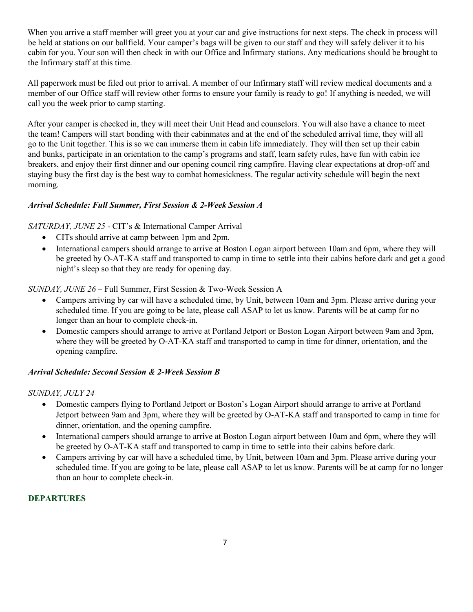When you arrive a staff member will greet you at your car and give instructions for next steps. The check in process will be held at stations on our ballfield. Your camper's bags will be given to our staff and they will safely deliver it to his cabin for you. Your son will then check in with our Office and Infirmary stations. Any medications should be brought to the Infirmary staff at this time.

All paperwork must be filed out prior to arrival. A member of our Infirmary staff will review medical documents and a member of our Office staff will review other forms to ensure your family is ready to go! If anything is needed, we will call you the week prior to camp starting.

After your camper is checked in, they will meet their Unit Head and counselors. You will also have a chance to meet the team! Campers will start bonding with their cabinmates and at the end of the scheduled arrival time, they will all go to the Unit together. This is so we can immerse them in cabin life immediately. They will then set up their cabin and bunks, participate in an orientation to the camp's programs and staff, learn safety rules, have fun with cabin ice breakers, and enjoy their first dinner and our opening council ring campfire. Having clear expectations at drop-off and staying busy the first day is the best way to combat homesickness. The regular activity schedule will begin the next morning.

# *Arrival Schedule: Full Summer, First Session & 2-Week Session A*

## *SATURDAY, JUNE 25* - CIT's & International Camper Arrival

- CITs should arrive at camp between 1pm and 2pm.
- International campers should arrange to arrive at Boston Logan airport between 10am and 6pm, where they will be greeted by O-AT-KA staff and transported to camp in time to settle into their cabins before dark and get a good night's sleep so that they are ready for opening day.

*SUNDAY, JUNE 26* – Full Summer, First Session & Two-Week Session A

- Campers arriving by car will have a scheduled time, by Unit, between 10am and 3pm. Please arrive during your scheduled time. If you are going to be late, please call ASAP to let us know. Parents will be at camp for no longer than an hour to complete check-in.
- Domestic campers should arrange to arrive at Portland Jetport or Boston Logan Airport between 9am and 3pm, where they will be greeted by O-AT-KA staff and transported to camp in time for dinner, orientation, and the opening campfire.

# *Arrival Schedule: Second Session & 2-Week Session B*

## *SUNDAY, JULY 24*

- Domestic campers flying to Portland Jetport or Boston's Logan Airport should arrange to arrive at Portland Jetport between 9am and 3pm, where they will be greeted by O-AT-KA staff and transported to camp in time for dinner, orientation, and the opening campfire.
- International campers should arrange to arrive at Boston Logan airport between 10am and 6pm, where they will be greeted by O-AT-KA staff and transported to camp in time to settle into their cabins before dark.
- Campers arriving by car will have a scheduled time, by Unit, between 10am and 3pm. Please arrive during your scheduled time. If you are going to be late, please call ASAP to let us know. Parents will be at camp for no longer than an hour to complete check-in.

## **DEPARTURES**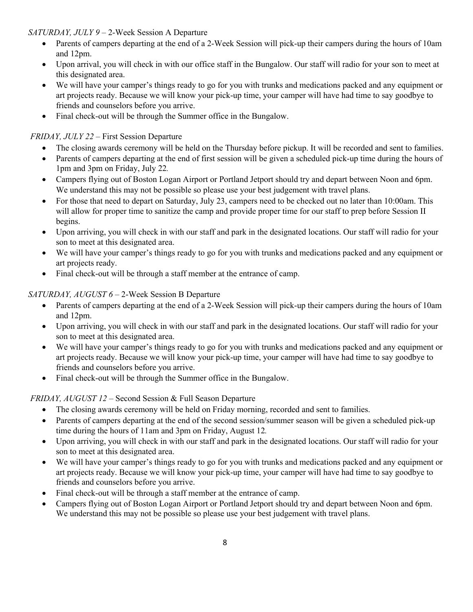# *SATURDAY, JULY 9* – 2-Week Session A Departure

- Parents of campers departing at the end of a 2-Week Session will pick-up their campers during the hours of 10am and 12pm.
- Upon arrival, you will check in with our office staff in the Bungalow. Our staff will radio for your son to meet at this designated area.
- We will have your camper's things ready to go for you with trunks and medications packed and any equipment or art projects ready. Because we will know your pick-up time, your camper will have had time to say goodbye to friends and counselors before you arrive.
- Final check-out will be through the Summer office in the Bungalow.

# *FRIDAY, JULY 22* – First Session Departure

- The closing awards ceremony will be held on the Thursday before pickup. It will be recorded and sent to families.
- Parents of campers departing at the end of first session will be given a scheduled pick-up time during the hours of 1pm and 3pm on Friday, July 22*.*
- Campers flying out of Boston Logan Airport or Portland Jetport should try and depart between Noon and 6pm. We understand this may not be possible so please use your best judgement with travel plans.
- For those that need to depart on Saturday, July 23, campers need to be checked out no later than 10:00am. This will allow for proper time to sanitize the camp and provide proper time for our staff to prep before Session II begins.
- Upon arriving, you will check in with our staff and park in the designated locations. Our staff will radio for your son to meet at this designated area.
- We will have your camper's things ready to go for you with trunks and medications packed and any equipment or art projects ready.
- Final check-out will be through a staff member at the entrance of camp.

# *SATURDAY, AUGUST 6* – 2-Week Session B Departure

- Parents of campers departing at the end of a 2-Week Session will pick-up their campers during the hours of 10am and 12pm.
- Upon arriving, you will check in with our staff and park in the designated locations. Our staff will radio for your son to meet at this designated area.
- We will have your camper's things ready to go for you with trunks and medications packed and any equipment or art projects ready. Because we will know your pick-up time, your camper will have had time to say goodbye to friends and counselors before you arrive.
- Final check-out will be through the Summer office in the Bungalow.

# *FRIDAY, AUGUST 12* – Second Session & Full Season Departure

- The closing awards ceremony will be held on Friday morning, recorded and sent to families.
- Parents of campers departing at the end of the second session/summer season will be given a scheduled pick-up time during the hours of 11am and 3pm on Friday, August 12*.*
- Upon arriving, you will check in with our staff and park in the designated locations. Our staff will radio for your son to meet at this designated area.
- We will have your camper's things ready to go for you with trunks and medications packed and any equipment or art projects ready. Because we will know your pick-up time, your camper will have had time to say goodbye to friends and counselors before you arrive.
- Final check-out will be through a staff member at the entrance of camp.
- Campers flying out of Boston Logan Airport or Portland Jetport should try and depart between Noon and 6pm. We understand this may not be possible so please use your best judgement with travel plans.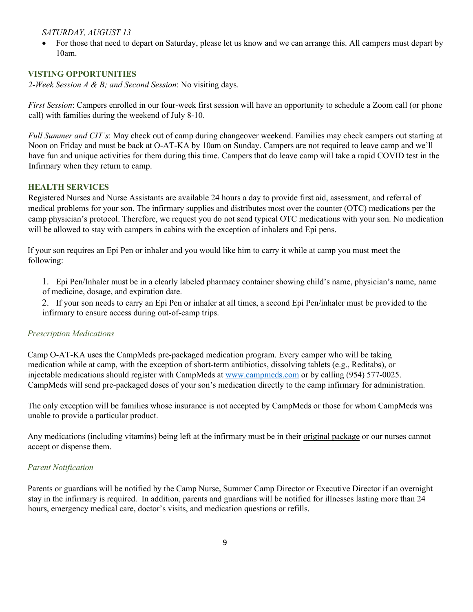## *SATURDAY, AUGUST 13*

• For those that need to depart on Saturday, please let us know and we can arrange this. All campers must depart by 10am.

## **VISTING OPPORTUNITIES**

*2-Week Session A & B; and Second Session*: No visiting days.

*First Session*: Campers enrolled in our four-week first session will have an opportunity to schedule a Zoom call (or phone call) with families during the weekend of July 8-10.

*Full Summer and CIT's*: May check out of camp during changeover weekend. Families may check campers out starting at Noon on Friday and must be back at O-AT-KA by 10am on Sunday. Campers are not required to leave camp and we'll have fun and unique activities for them during this time. Campers that do leave camp will take a rapid COVID test in the Infirmary when they return to camp.

## **HEALTH SERVICES**

Registered Nurses and Nurse Assistants are available 24 hours a day to provide first aid, assessment, and referral of medical problems for your son. The infirmary supplies and distributes most over the counter (OTC) medications per the camp physician's protocol. Therefore, we request you do not send typical OTC medications with your son. No medication will be allowed to stay with campers in cabins with the exception of inhalers and Epi pens.

If your son requires an Epi Pen or inhaler and you would like him to carry it while at camp you must meet the following:

1. Epi Pen/Inhaler must be in a clearly labeled pharmacy container showing child's name, physician's name, name of medicine, dosage, and expiration date.

2. If your son needs to carry an Epi Pen or inhaler at all times, a second Epi Pen/inhaler must be provided to the infirmary to ensure access during out-of-camp trips.

## *Prescription Medications*

Camp O-AT-KA uses the CampMeds pre-packaged medication program. Every camper who will be taking medication while at camp, with the exception of short-term antibiotics, dissolving tablets (e.g., Reditabs), or injectable medications should register with CampMeds at www.campmeds.com or by calling (954) 577-0025. CampMeds will send pre-packaged doses of your son's medication directly to the camp infirmary for administration.

The only exception will be families whose insurance is not accepted by CampMeds or those for whom CampMeds was unable to provide a particular product.

Any medications (including vitamins) being left at the infirmary must be in their original package or our nurses cannot accept or dispense them.

## *Parent Notification*

Parents or guardians will be notified by the Camp Nurse, Summer Camp Director or Executive Director if an overnight stay in the infirmary is required. In addition, parents and guardians will be notified for illnesses lasting more than 24 hours, emergency medical care, doctor's visits, and medication questions or refills.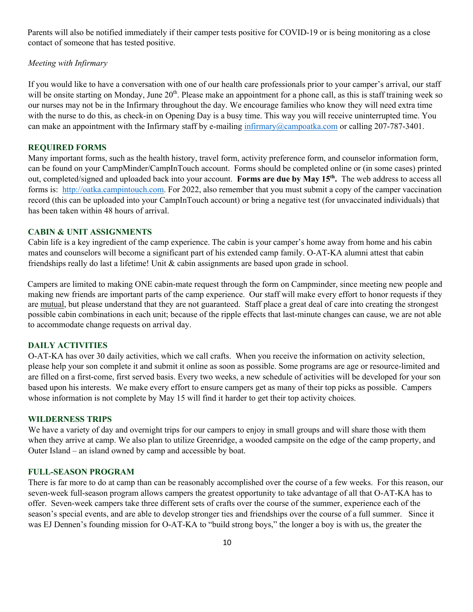Parents will also be notified immediately if their camper tests positive for COVID-19 or is being monitoring as a close contact of someone that has tested positive.

## *Meeting with Infirmary*

If you would like to have a conversation with one of our health care professionals prior to your camper's arrival, our staff will be onsite starting on Monday, June  $20<sup>th</sup>$ . Please make an appointment for a phone call, as this is staff training week so our nurses may not be in the Infirmary throughout the day. We encourage families who know they will need extra time with the nurse to do this, as check-in on Opening Day is a busy time. This way you will receive uninterrupted time. You can make an appointment with the Infirmary staff by e-mailing infirmary@campoatka.com or calling 207-787-3401.

#### **REQUIRED FORMS**

Many important forms, such as the health history, travel form, activity preference form, and counselor information form, can be found on your CampMinder/CampInTouch account. Forms should be completed online or (in some cases) printed out, completed/signed and uploaded back into your account. **Forms are due by May 15th.** The web address to access all forms is: http://oatka.campintouch.com. For 2022, also remember that you must submit a copy of the camper vaccination record (this can be uploaded into your CampInTouch account) or bring a negative test (for unvaccinated individuals) that has been taken within 48 hours of arrival.

#### **CABIN & UNIT ASSIGNMENTS**

Cabin life is a key ingredient of the camp experience. The cabin is your camper's home away from home and his cabin mates and counselors will become a significant part of his extended camp family. O-AT-KA alumni attest that cabin friendships really do last a lifetime! Unit  $\&$  cabin assignments are based upon grade in school.

Campers are limited to making ONE cabin-mate request through the form on Campminder, since meeting new people and making new friends are important parts of the camp experience. Our staff will make every effort to honor requests if they are mutual, but please understand that they are not guaranteed. Staff place a great deal of care into creating the strongest possible cabin combinations in each unit; because of the ripple effects that last-minute changes can cause, we are not able to accommodate change requests on arrival day.

#### **DAILY ACTIVITIES**

O-AT-KA has over 30 daily activities, which we call crafts. When you receive the information on activity selection, please help your son complete it and submit it online as soon as possible. Some programs are age or resource-limited and are filled on a first-come, first served basis. Every two weeks, a new schedule of activities will be developed for your son based upon his interests. We make every effort to ensure campers get as many of their top picks as possible. Campers whose information is not complete by May 15 will find it harder to get their top activity choices.

#### **WILDERNESS TRIPS**

We have a variety of day and overnight trips for our campers to enjoy in small groups and will share those with them when they arrive at camp. We also plan to utilize Greenridge, a wooded campsite on the edge of the camp property, and Outer Island – an island owned by camp and accessible by boat.

#### **FULL-SEASON PROGRAM**

There is far more to do at camp than can be reasonably accomplished over the course of a few weeks. For this reason, our seven-week full-season program allows campers the greatest opportunity to take advantage of all that O-AT-KA has to offer. Seven-week campers take three different sets of crafts over the course of the summer, experience each of the season's special events, and are able to develop stronger ties and friendships over the course of a full summer. Since it was EJ Dennen's founding mission for O-AT-KA to "build strong boys," the longer a boy is with us, the greater the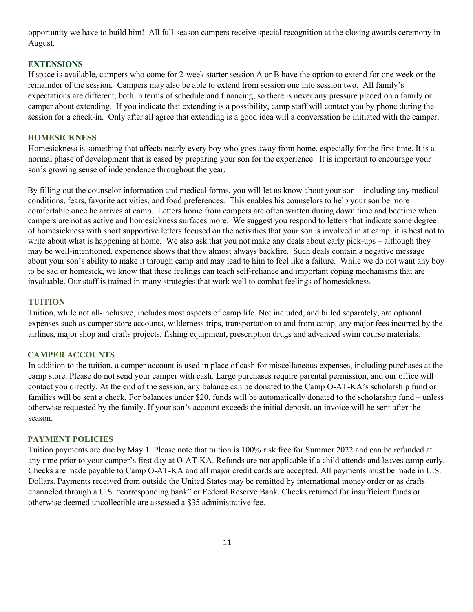opportunity we have to build him! All full-season campers receive special recognition at the closing awards ceremony in August.

### **EXTENSIONS**

If space is available, campers who come for 2-week starter session A or B have the option to extend for one week or the remainder of the session. Campers may also be able to extend from session one into session two. All family's expectations are different, both in terms of schedule and financing, so there is never any pressure placed on a family or camper about extending. If you indicate that extending is a possibility, camp staff will contact you by phone during the session for a check-in. Only after all agree that extending is a good idea will a conversation be initiated with the camper.

#### **HOMESICKNESS**

Homesickness is something that affects nearly every boy who goes away from home, especially for the first time. It is a normal phase of development that is eased by preparing your son for the experience. It is important to encourage your son's growing sense of independence throughout the year.

By filling out the counselor information and medical forms, you will let us know about your son – including any medical conditions, fears, favorite activities, and food preferences. This enables his counselors to help your son be more comfortable once he arrives at camp. Letters home from campers are often written during down time and bedtime when campers are not as active and homesickness surfaces more. We suggest you respond to letters that indicate some degree of homesickness with short supportive letters focused on the activities that your son is involved in at camp; it is best not to write about what is happening at home. We also ask that you not make any deals about early pick-ups – although they may be well-intentioned, experience shows that they almost always backfire. Such deals contain a negative message about your son's ability to make it through camp and may lead to him to feel like a failure. While we do not want any boy to be sad or homesick, we know that these feelings can teach self-reliance and important coping mechanisms that are invaluable. Our staff is trained in many strategies that work well to combat feelings of homesickness.

## **TUITION**

Tuition, while not all-inclusive, includes most aspects of camp life. Not included, and billed separately, are optional expenses such as camper store accounts, wilderness trips, transportation to and from camp, any major fees incurred by the airlines, major shop and crafts projects, fishing equipment, prescription drugs and advanced swim course materials.

#### **CAMPER ACCOUNTS**

In addition to the tuition, a camper account is used in place of cash for miscellaneous expenses, including purchases at the camp store. Please do not send your camper with cash. Large purchases require parental permission, and our office will contact you directly. At the end of the session, any balance can be donated to the Camp O-AT-KA's scholarship fund or families will be sent a check. For balances under \$20, funds will be automatically donated to the scholarship fund – unless otherwise requested by the family. If your son's account exceeds the initial deposit, an invoice will be sent after the season.

#### **PAYMENT POLICIES**

Tuition payments are due by May 1. Please note that tuition is 100% risk free for Summer 2022 and can be refunded at any time prior to your camper's first day at O-AT-KA. Refunds are not applicable if a child attends and leaves camp early. Checks are made payable to Camp O-AT-KA and all major credit cards are accepted. All payments must be made in U.S. Dollars. Payments received from outside the United States may be remitted by international money order or as drafts channeled through a U.S. "corresponding bank" or Federal Reserve Bank. Checks returned for insufficient funds or otherwise deemed uncollectible are assessed a \$35 administrative fee.